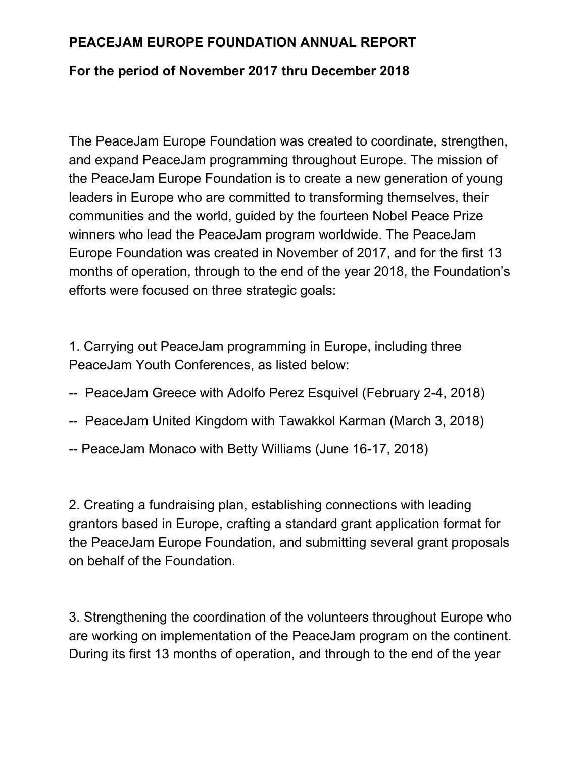## **PEACEJAM EUROPE FOUNDATION ANNUAL REPORT**

## **For the period of November 2017 thru December 2018**

The PeaceJam Europe Foundation was created to coordinate, strengthen, and expand PeaceJam programming throughout Europe. The mission of the PeaceJam Europe Foundation is to create a new generation of young leaders in Europe who are committed to transforming themselves, their communities and the world, guided by the fourteen Nobel Peace Prize winners who lead the PeaceJam program worldwide. The PeaceJam Europe Foundation was created in November of 2017, and for the first 13 months of operation, through to the end of the year 2018, the Foundation's efforts were focused on three strategic goals:

1. Carrying out PeaceJam programming in Europe, including three PeaceJam Youth Conferences, as listed below:

- -- PeaceJam Greece with Adolfo Perez Esquivel (February 2-4, 2018)
- -- PeaceJam United Kingdom with Tawakkol Karman (March 3, 2018)
- -- PeaceJam Monaco with Betty Williams (June 16-17, 2018)

2. Creating a fundraising plan, establishing connections with leading grantors based in Europe, crafting a standard grant application format for the PeaceJam Europe Foundation, and submitting several grant proposals on behalf of the Foundation.

3. Strengthening the coordination of the volunteers throughout Europe who are working on implementation of the PeaceJam program on the continent. During its first 13 months of operation, and through to the end of the year